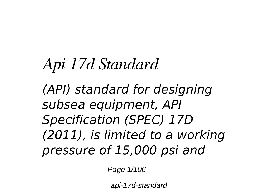# *Api 17d Standard*

*(API) standard for designing subsea equipment, API Specification (SPEC) 17D (2011), is limited to a working pressure of 15,000 psi and*

Page 1/106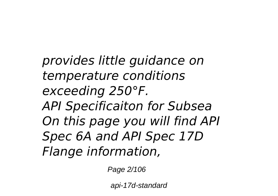*provides little guidance on temperature conditions exceeding 250°F. API Specificaiton for Subsea On this page you will find API Spec 6A and API Spec 17D Flange information,*

Page 2/106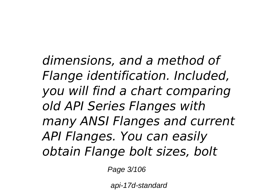*dimensions, and a method of Flange identification. Included, you will find a chart comparing old API Series Flanges with many ANSI Flanges and current API Flanges. You can easily obtain Flange bolt sizes, bolt*

Page 3/106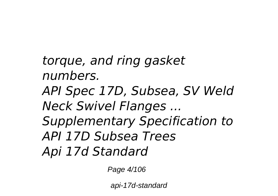*torque, and ring gasket numbers. API Spec 17D, Subsea, SV Weld Neck Swivel Flanges ... Supplementary Specification to API 17D Subsea Trees Api 17d Standard*

Page 4/106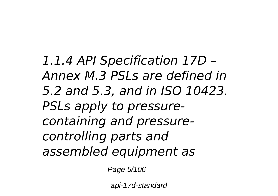*1.1.4 API Specification 17D – Annex M.3 PSLs are defined in 5.2 and 5.3, and in ISO 10423. PSLs apply to pressurecontaining and pressurecontrolling parts and assembled equipment as*

Page 5/106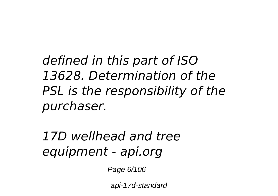*defined in this part of ISO 13628. Determination of the PSL is the responsibility of the purchaser.*

*17D wellhead and tree equipment - api.org*

Page 6/106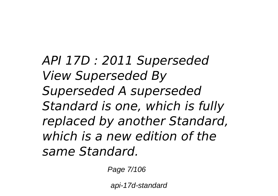*API 17D : 2011 Superseded View Superseded By Superseded A superseded Standard is one, which is fully replaced by another Standard, which is a new edition of the same Standard.*

Page 7/106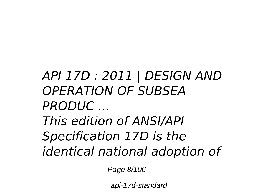## *API 17D : 2011 | DESIGN AND OPERATION OF SUBSEA PRODUC ... This edition of ANSI/API Specification 17D is the identical national adoption of*

Page 8/106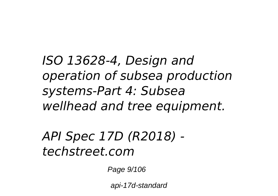*ISO 13628-4, Design and operation of subsea production systems-Part 4: Subsea wellhead and tree equipment.*

### *API Spec 17D (R2018) techstreet.com*

Page 9/106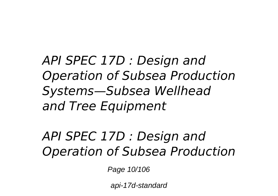*API SPEC 17D : Design and Operation of Subsea Production Systems—Subsea Wellhead and Tree Equipment*

*API SPEC 17D : Design and Operation of Subsea Production*

Page 10/106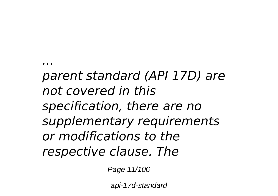*parent standard (API 17D) are not covered in this specification, there are no supplementary requirements or modifications to the respective clause. The*

*...*

Page 11/106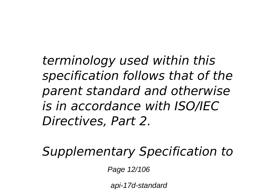*terminology used within this specification follows that of the parent standard and otherwise is in accordance with ISO/IEC Directives, Part 2.*

*Supplementary Specification to*

Page 12/106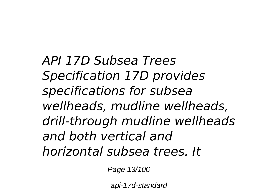*API 17D Subsea Trees Specification 17D provides specifications for subsea wellheads, mudline wellheads, drill-through mudline wellheads and both vertical and horizontal subsea trees. It*

Page 13/106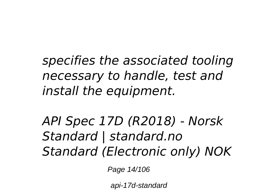*specifies the associated tooling necessary to handle, test and install the equipment.*

*API Spec 17D (R2018) - Norsk Standard | standard.no Standard (Electronic only) NOK*

Page 14/106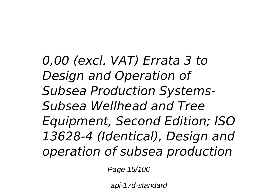*0,00 (excl. VAT) Errata 3 to Design and Operation of Subsea Production Systems-Subsea Wellhead and Tree Equipment, Second Edition; ISO 13628-4 (Identical), Design and operation of subsea production*

Page 15/106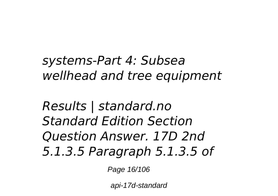*systems-Part 4: Subsea wellhead and tree equipment*

*Results | standard.no Standard Edition Section Question Answer. 17D 2nd 5.1.3.5 Paragraph 5.1.3.5 of*

Page 16/106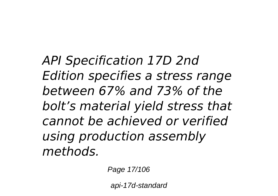*API Specification 17D 2nd Edition specifies a stress range between 67% and 73% of the bolt's material yield stress that cannot be achieved or verified using production assembly methods.*

Page 17/106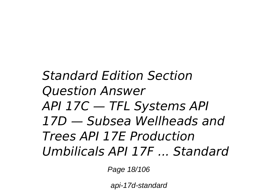## *Standard Edition Section Question Answer API 17C — TFL Systems API 17D — Subsea Wellheads and Trees API 17E Production Umbilicals API 17F ... Standard*

Page 18/106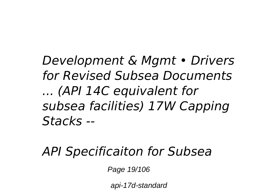*Development & Mgmt • Drivers for Revised Subsea Documents ... (API 14C equivalent for subsea facilities) 17W Capping Stacks --*

#### *API Specificaiton for Subsea*

Page 19/106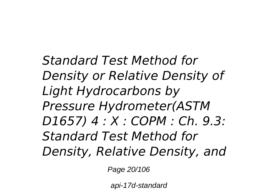*Standard Test Method for Density or Relative Density of Light Hydrocarbons by Pressure Hydrometer(ASTM D1657) 4 : X : COPM : Ch. 9.3: Standard Test Method for Density, Relative Density, and*

Page 20/106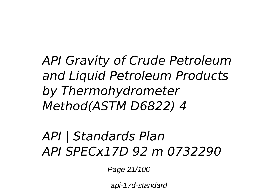*API Gravity of Crude Petroleum and Liquid Petroleum Products by Thermohydrometer Method(ASTM D6822) 4*

#### *API | Standards Plan API SPECx17D 92 m 0732290*

Page 21/106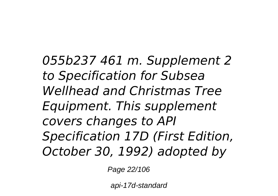*055b237 461 m. Supplement 2 to Specification for Subsea Wellhead and Christmas Tree Equipment. This supplement covers changes to API Specification 17D (First Edition, October 30, 1992) adopted by*

Page 22/106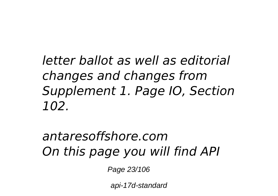*letter ballot as well as editorial changes and changes from Supplement 1. Page IO, Section 102.*

## *antaresoffshore.com On this page you will find API*

Page 23/106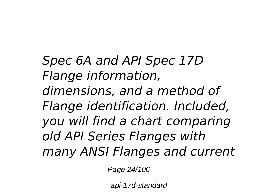*Spec 6A and API Spec 17D Flange information, dimensions, and a method of Flange identification. Included, you will find a chart comparing old API Series Flanges with many ANSI Flanges and current*

Page 24/106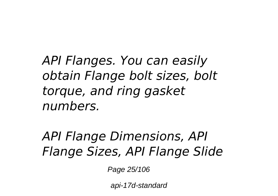*API Flanges. You can easily obtain Flange bolt sizes, bolt torque, and ring gasket numbers.*

*API Flange Dimensions, API Flange Sizes, API Flange Slide*

Page 25/106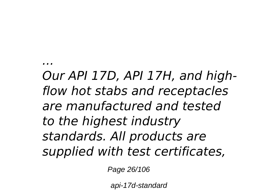*Our API 17D, API 17H, and highflow hot stabs and receptacles are manufactured and tested to the highest industry standards. All products are supplied with test certificates,*

*...*

Page 26/106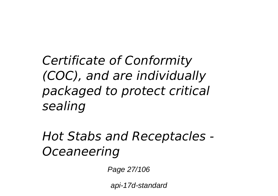*Certificate of Conformity (COC), and are individually packaged to protect critical sealing*

*Hot Stabs and Receptacles - Oceaneering*

Page 27/106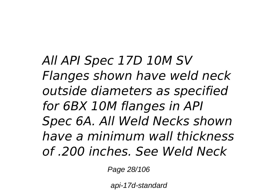*All API Spec 17D 10M SV Flanges shown have weld neck outside diameters as specified for 6BX 10M flanges in API Spec 6A. All Weld Necks shown have a minimum wall thickness of .200 inches. See Weld Neck*

Page 28/106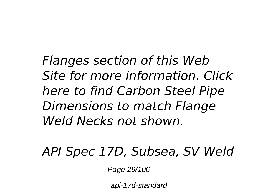*Flanges section of this Web Site for more information. Click here to find Carbon Steel Pipe Dimensions to match Flange Weld Necks not shown.*

*API Spec 17D, Subsea, SV Weld*

Page 29/106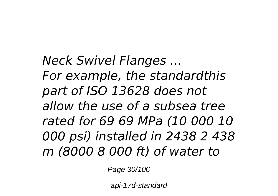*Neck Swivel Flanges ... For example, the standardthis part of ISO 13628 does not allow the use of a subsea tree rated for 69 69 MPa (10 000 10 000 psi) installed in 2438 2 438 m (8000 8 000 ft) of water to*

Page 30/106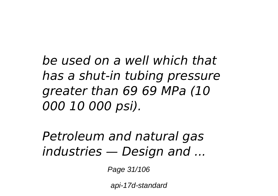*be used on a well which that has a shut-in tubing pressure greater than 69 69 MPa (10 000 10 000 psi).*

*Petroleum and natural gas industries — Design and ...*

Page 31/106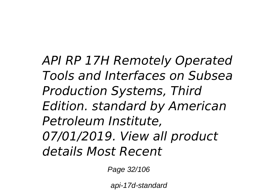*API RP 17H Remotely Operated Tools and Interfaces on Subsea Production Systems, Third Edition. standard by American Petroleum Institute, 07/01/2019. View all product details Most Recent*

Page 32/106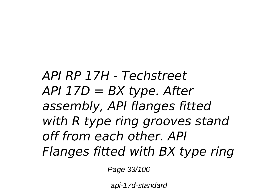*API RP 17H - Techstreet API 17D = BX type. After assembly, API flanges fitted with R type ring grooves stand off from each other. API Flanges fitted with BX type ring*

Page 33/106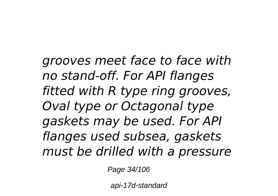*grooves meet face to face with no stand-off. For API flanges fitted with R type ring grooves, Oval type or Octagonal type gaskets may be used. For API flanges used subsea, gaskets must be drilled with a pressure*

Page 34/106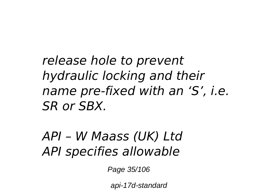*release hole to prevent hydraulic locking and their name pre-fixed with an 'S', i.e. SR or SBX.*

*API – W Maass (UK) Ltd API specifies allowable*

Page 35/106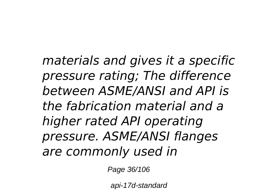*materials and gives it a specific pressure rating; The difference between ASME/ANSI and API is the fabrication material and a higher rated API operating pressure. ASME/ANSI flanges are commonly used in*

Page 36/106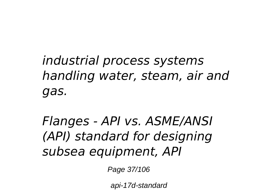*industrial process systems handling water, steam, air and gas.*

*Flanges - API vs. ASME/ANSI (API) standard for designing subsea equipment, API*

Page 37/106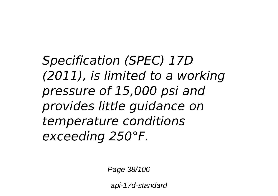*Specification (SPEC) 17D (2011), is limited to a working pressure of 15,000 psi and provides little guidance on temperature conditions exceeding 250°F.*

Page 38/106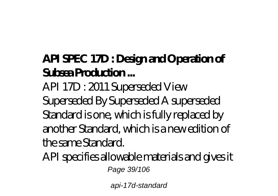#### **API SPEC 17D : Design and Operation of Subsea Production ...**

API 17D : 2011 Superseded View Superseded By Superseded A superseded Standard is one, which is fully replaced by another Standard, which is a new edition of the same Standard.

API specifies allowable materials and gives it Page 39/106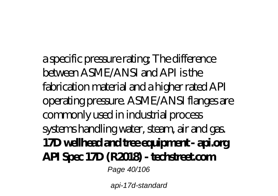a specific pressure rating; The difference between ASME/ANSI and API is the fabrication material and a higher rated API operating pressure. ASME/ANSI flanges are commonly used in industrial process systems handling water, steam, air and gas. **17D wellhead and tree equipment - api.org API Spec 17D (R2018) - techstreet.com** Page 40/106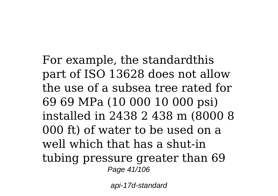For example, the standardthis part of ISO 13628 does not allow the use of a subsea tree rated for 69 69 MPa (10 000 10 000 psi) installed in 2438 2 438 m (8000 8 000 ft) of water to be used on a well which that has a shut-in tubing pressure greater than 69 Page 41/106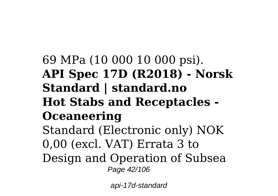#### 69 MPa (10 000 10 000 psi). **API Spec 17D (R2018) - Norsk Standard | standard.no Hot Stabs and Receptacles - Oceaneering** Standard (Electronic only) NOK 0,00 (excl. VAT) Errata 3 to Design and Operation of Subsea Page 42/106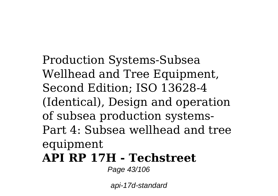Production Systems-Subsea Wellhead and Tree Equipment, Second Edition; ISO 13628-4 (Identical), Design and operation of subsea production systems-Part 4: Subsea wellhead and tree equipment

#### **API RP 17H - Techstreet**

Page 43/106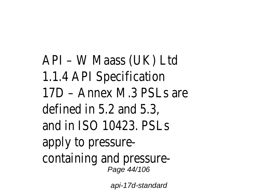API – W Maass (UK) Ltd 1.1.4 API Specification 17D – Annex M.3 PSLs are defined in 5.2 and 5.3, and in ISO 10423. PSLs apply to pressurecontaining and pressure-Page 44/106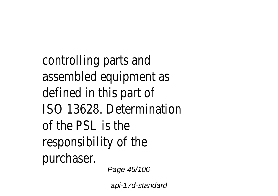controlling parts and assembled equipment as defined in this part of ISO 13628. Determination of the PSL is the responsibility of the purchaser. Page 45/106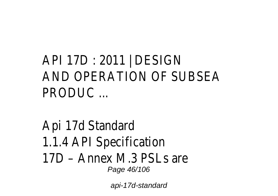## API 17D : 2011 | DESIGN AND OPERATION OF SUBSEA PRODUC ...

#### Api 17d Standard 1.1.4 API Specification 17D – Annex M.3 PSLs are Page 46/106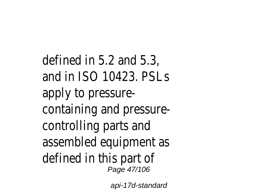defined in 5.2 and 5.3, and in ISO 10423. PSLs apply to pressurecontaining and pressurecontrolling parts and assembled equipment as defined in this part of Page 47/106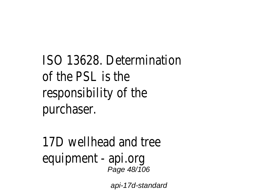ISO 13628. Determination of the PSL is the responsibility of the purchaser.

17D wellhead and tree equipment - api.org Page 48/106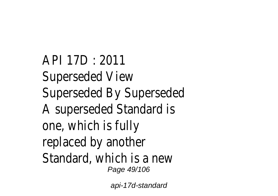API 17D : 2011 Superseded View Superseded By Superseded A superseded Standard is one, which is fully replaced by another Standard, which is a new Page 49/106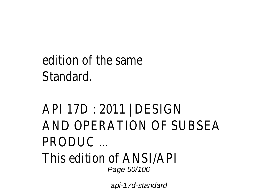## edition of the same **Standard**

## API 17D : 2011 | DESIGN AND OPERATION OF SUBSEA PRODUC ...

#### This edition of ANSI/API Page 50/106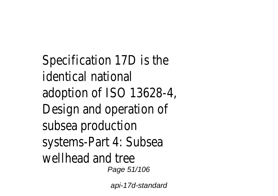Specification 17D is the identical national adoption of ISO 13628-4, Design and operation of subsea production systems-Part 4: Subsea wellhead and tree Page 51/106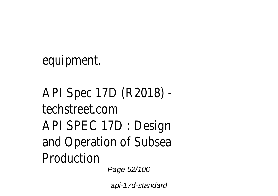equipment.

API Spec 17D (R2018) techstreet.com API SPEC 17D : Design and Operation of Subsea Production Page 52/106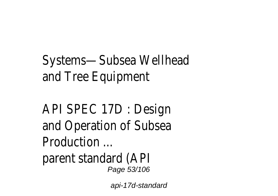# Systems—Subsea Wellhead and Tree Equipment

API SPEC 17D : Design and Operation of Subsea Production ...

parent standard (API Page 53/106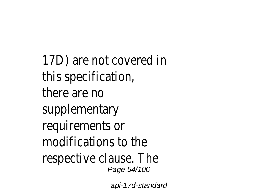17D) are not covered in this specification, there are no supplementary requirements or modifications to the respective clause. The Page 54/106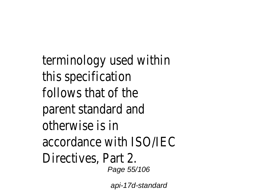terminology used within this specification follows that of the parent standard and otherwise is in accordance with ISO/IEC Directives, Part 2. Page 55/106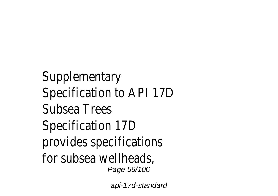**Supplementary** Specification to API 17D Subsea Trees Specification 17D provides specifications for subsea wellheads, Page 56/106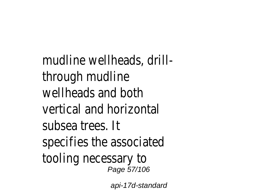mudline wellheads, drillthrough mudline wellheads and both vertical and horizontal subsea trees. It specifies the associated tooling necessary to Page 57/106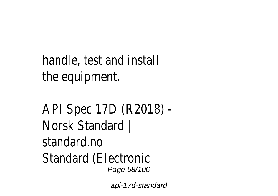handle, test and install the equipment.

API Spec 17D (R2018) - Norsk Standard | standard.no Standard (Electronic Page 58/106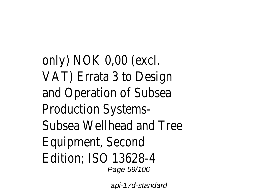only) NOK 0,00 (excl. VAT) Errata 3 to Design and Operation of Subsea Production Systems-Subsea Wellhead and Tree Equipment, Second Edition; ISO 13628-4 Page 59/106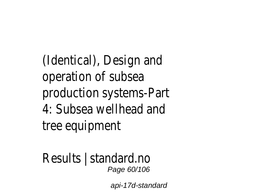(Identical), Design and operation of subsea production systems-Part 4: Subsea wellhead and tree equipment

Results | standard.no Page 60/106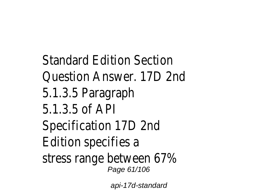Standard Edition Section Question Answer. 17D 2nd 5.1.3.5 Paragraph 5.1.3.5 of API Specification 17D 2nd Edition specifies a stress range between 67% Page 61/106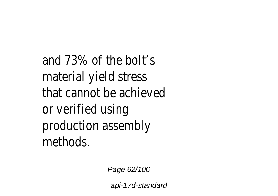and 73% of the bolt's material yield stress that cannot be achieved or verified using production assembly methods.

Page 62/106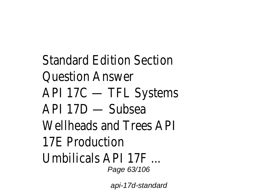Standard Edition Section Question Answer API 17C — TFL Systems API 17D — Subsea Wellheads and Trees API 17E Production Umbilicals API 17F ... Page 63/106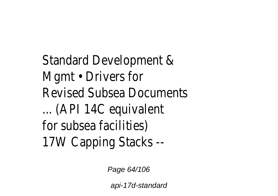Standard Development & Mgmt • Drivers for Revised Subsea Documents ... (API 14C equivalent for subsea facilities) 17W Capping Stacks --

Page 64/106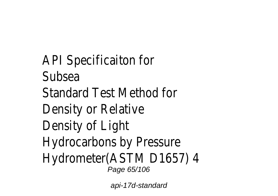API Specificaiton for **Subsea** Standard Test Method for Density or Relative Density of Light Hydrocarbons by Pressure Hydrometer(ASTM D1657) 4 Page 65/106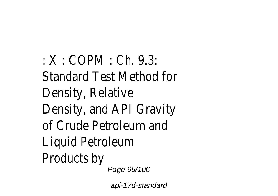: X : COPM : Ch. 9.3: Standard Test Method for Density, Relative Density, and API Gravity of Crude Petroleum and Liquid Petroleum Products by Page 66/106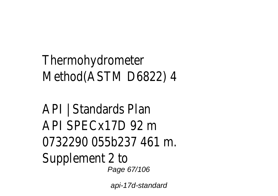## Thermohydrometer Method(ASTM D6822) 4

#### API | Standards Plan API SPECx17D 92 m 0732290 055b237 461 m. Supplement 2 to Page 67/106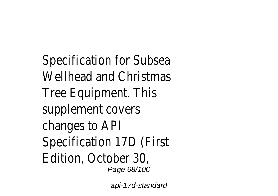Specification for Subsea Wellhead and Christmas Tree Equipment. This supplement covers changes to API Specification 17D (First Edition, October 30, Page 68/106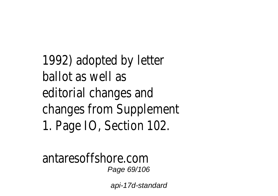# 1992) adopted by letter ballot as well as editorial changes and changes from Supplement 1. Page IO, Section 102.

antaresoffshore.com Page 69/106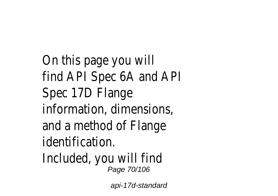On this page you will find API Spec 6A and API Spec 17D Flange information, dimensions, and a method of Flange identification.

Included, you will find Page 70/106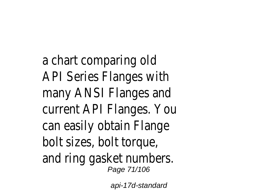a chart comparing old API Series Flanges with many ANSI Flanges and current API Flanges. You can easily obtain Flange bolt sizes, bolt torque, and ring gasket numbers. Page 71/106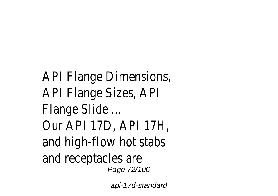API Flange Dimensions, API Flange Sizes, API Flange Slide ... Our API 17D, API 17H, and high-flow hot stabs and receptacles are Page 72/106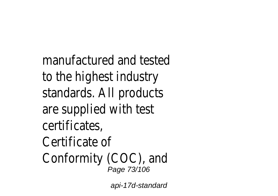manufactured and tested to the highest industry standards. All products are supplied with test certificates, Certificate of Conformity (COC), and Page 73/106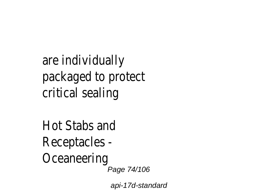# are individually packaged to protect critical sealing

Hot Stabs and Receptacles - **Oceaneering** Page 74/106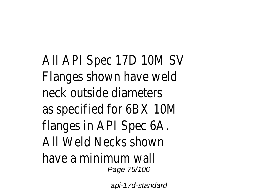All API Spec 17D 10M SV Flanges shown have weld neck outside diameters as specified for 6BX 10M flanges in API Spec 6A. All Weld Necks shown have a minimum wall Page 75/106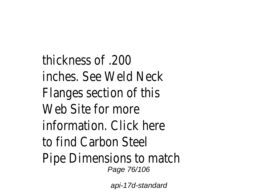thickness of .200 inches. See Weld Neck Flanges section of this Web Site for more information. Click here to find Carbon Steel Pipe Dimensions to match Page 76/106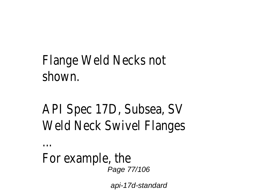## Flange Weld Necks not shown.

# API Spec 17D, Subsea, SV Weld Neck Swivel Flanges

For example, the Page 77/106

...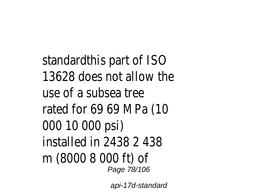standardthis part of ISO 13628 does not allow the use of a subsea tree rated for 69 69 MPa (10 000 10 000 psi) installed in 2438 2 438 m (8000 8 000 ft) of Page 78/106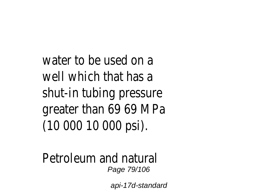water to be used on a well which that has a shut-in tubing pressure greater than 69 69 MPa (10 000 10 000 psi).

Petroleum and natural Page 79/106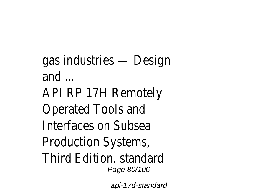gas industries — Design and ... API RP 17H Remotely Operated Tools and Interfaces on Subsea Production Systems, Third Edition. standard Page 80/106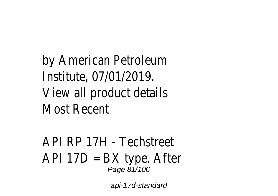by American Petroleum Institute, 07/01/2019. View all product details Most Recent

API RP 17H - Techstreet API 17D = BX type. After Page 81/106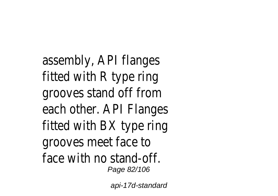assembly, API flanges fitted with R type ring grooves stand off from each other. API Flanges fitted with BX type ring grooves meet face to face with no stand-off. Page 82/106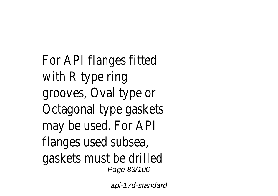For API flanges fitted with R type ring grooves, Oval type or Octagonal type gaskets may be used. For API flanges used subsea, gaskets must be drilled Page 83/106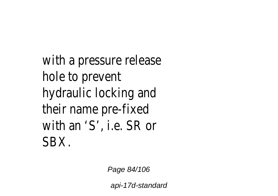# with a pressure release hole to prevent hydraulic locking and their name pre-fixed with an 'S', i.e. SR or **SBX**

Page 84/106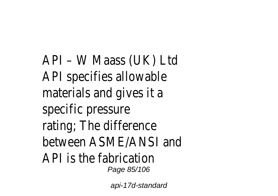API – W Maass (UK) Ltd API specifies allowable materials and gives it a specific pressure rating; The difference between ASME/ANSI and API is the fabrication Page 85/106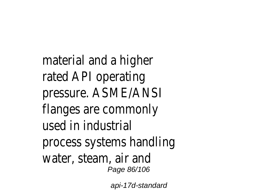material and a higher rated API operating pressure. ASME/ANSI flanges are commonly used in industrial process systems handling water, steam, air and Page 86/106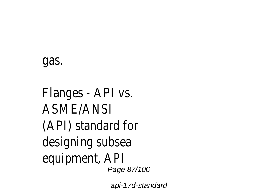## gas.

Flanges - API vs. ASME/ANSI (API) standard for designing subsea equipment, API Page 87/106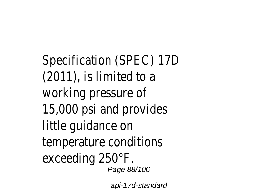Specification (SPEC) 17D (2011), is limited to a working pressure of 15,000 psi and provides little guidance on temperature conditions exceeding 250°F. Page 88/106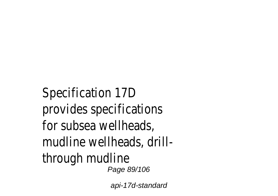Specification 17D provides specifications for subsea wellheads, mudline wellheads, drillthrough mudline Page 89/106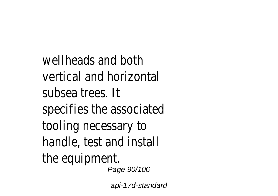wellheads and both vertical and horizontal subsea trees. It specifies the associated tooling necessary to handle, test and install the equipment. Page 90/106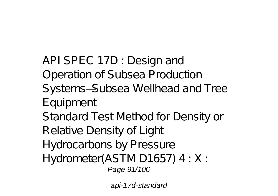API SPEC 17D : Design and Operation of Subsea Production Systems—Subsea Wellhead and Tree Equipment Standard Test Method for Density or Relative Density of Light Hydrocarbons by Pressure Hydrometer(ASTM D1657) 4 : X : Page 91/106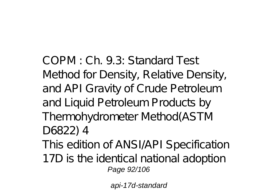COPM : Ch. 9.3: Standard Test Method for Density, Relative Density, and API Gravity of Crude Petroleum and Liquid Petroleum Products by Thermohydrometer Method(ASTM D6822) 4

- This edition of ANSI/API Specification
- 17D is the identical national adoption Page 92/106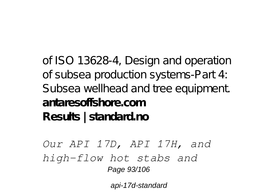of ISO 13628-4, Design and operation of subsea production systems-Part 4: Subsea wellhead and tree equipment. **antaresoffshore.com Results | standard.no**

*Our API 17D, API 17H, and high-flow hot stabs and* Page 93/106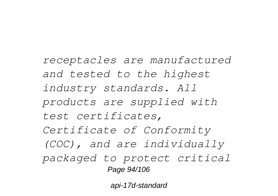*receptacles are manufactured and tested to the highest industry standards. All products are supplied with test certificates, Certificate of Conformity (COC), and are individually packaged to protect critical* Page 94/106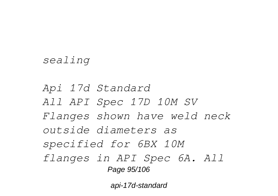#### *sealing*

*Api 17d Standard All API Spec 17D 10M SV Flanges shown have weld neck outside diameters as specified for 6BX 10M flanges in API Spec 6A. All* Page 95/106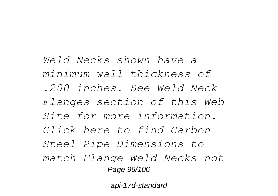*Weld Necks shown have a minimum wall thickness of .200 inches. See Weld Neck Flanges section of this Web Site for more information. Click here to find Carbon Steel Pipe Dimensions to match Flange Weld Necks not* Page 96/106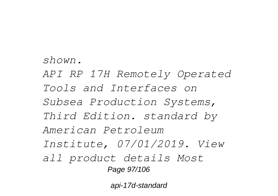*shown. API RP 17H Remotely Operated Tools and Interfaces on Subsea Production Systems, Third Edition. standard by American Petroleum Institute, 07/01/2019. View all product details Most* Page 97/106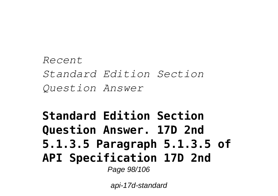*Recent Standard Edition Section Question Answer*

### **Standard Edition Section Question Answer. 17D 2nd 5.1.3.5 Paragraph 5.1.3.5 of API Specification 17D 2nd** Page 98/106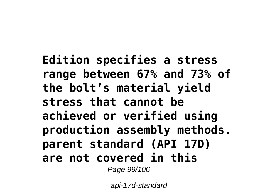**Edition specifies a stress range between 67% and 73% of the bolt's material yield stress that cannot be achieved or verified using production assembly methods. parent standard (API 17D) are not covered in this** Page 99/106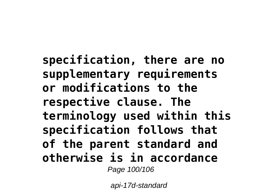**specification, there are no supplementary requirements or modifications to the respective clause. The terminology used within this specification follows that of the parent standard and otherwise is in accordance** Page 100/106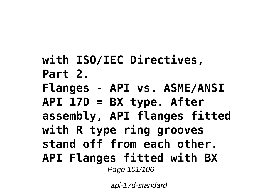**with ISO/IEC Directives, Part 2. Flanges - API vs. ASME/ANSI API 17D = BX type. After assembly, API flanges fitted with R type ring grooves stand off from each other. API Flanges fitted with BX** Page 101/106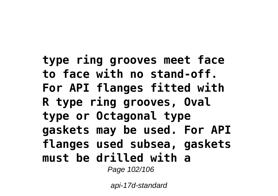**type ring grooves meet face to face with no stand-off. For API flanges fitted with R type ring grooves, Oval type or Octagonal type gaskets may be used. For API flanges used subsea, gaskets must be drilled with a** Page 102/106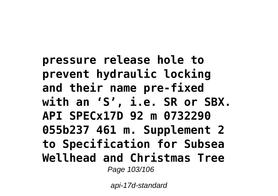**pressure release hole to prevent hydraulic locking and their name pre-fixed with an 'S', i.e. SR or SBX. API SPECx17D 92 m 0732290 055b237 461 m. Supplement 2 to Specification for Subsea Wellhead and Christmas Tree** Page 103/106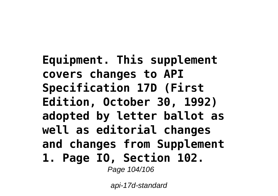**Equipment. This supplement covers changes to API Specification 17D (First Edition, October 30, 1992) adopted by letter ballot as well as editorial changes and changes from Supplement 1. Page IO, Section 102.** Page 104/106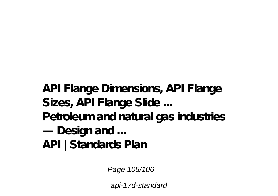**API Flange Dimensions, API Flange Sizes, API Flange Slide ... Petroleum and natural gas industries — Design and ... API | Standards Plan**

Page 105/106